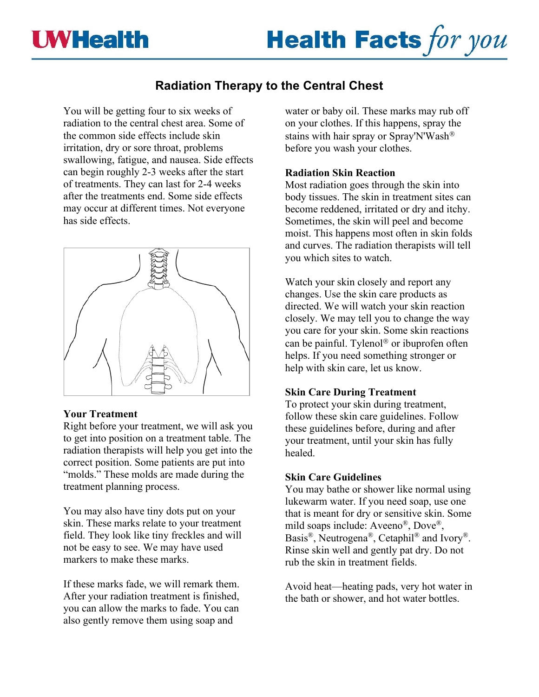



# **Radiation Therapy to the Central Chest**

You will be getting four to six weeks of radiation to the central chest area. Some of the common side effects include skin irritation, dry or sore throat, problems swallowing, fatigue, and nausea. Side effects can begin roughly 2-3 weeks after the start of treatments. They can last for 2-4 weeks after the treatments end. Some side effects may occur at different times. Not everyone has side effects.



# **Your Treatment**

Right before your treatment, we will ask you to get into position on a treatment table. The radiation therapists will help you get into the correct position. Some patients are put into "molds." These molds are made during the treatment planning process.

You may also have tiny dots put on your skin. These marks relate to your treatment field. They look like tiny freckles and will not be easy to see. We may have used markers to make these marks.

If these marks fade, we will remark them. After your radiation treatment is finished, you can allow the marks to fade. You can also gently remove them using soap and

water or baby oil. These marks may rub off on your clothes. If this happens, spray the stains with hair spray or Spray'N'Wash before you wash your clothes.

#### **Radiation Skin Reaction**

Most radiation goes through the skin into body tissues. The skin in treatment sites can become reddened, irritated or dry and itchy. Sometimes, the skin will peel and become moist. This happens most often in skin folds and curves. The radiation therapists will tell you which sites to watch.

Watch your skin closely and report any changes. Use the skin care products as directed. We will watch your skin reaction closely. We may tell you to change the way you care for your skin. Some skin reactions can be painful. Tylenol® or ibuprofen often helps. If you need something stronger or help with skin care, let us know.

# **Skin Care During Treatment**

To protect your skin during treatment, follow these skin care guidelines. Follow these guidelines before, during and after your treatment, until your skin has fully healed.

# **Skin Care Guidelines**

You may bathe or shower like normal using lukewarm water. If you need soap, use one that is meant for dry or sensitive skin. Some mild soaps include: Aveeno®, Dove®, Basis®, Neutrogena®, Cetaphil® and Ivory®. Rinse skin well and gently pat dry. Do not rub the skin in treatment fields.

Avoid heat—heating pads, very hot water in the bath or shower, and hot water bottles.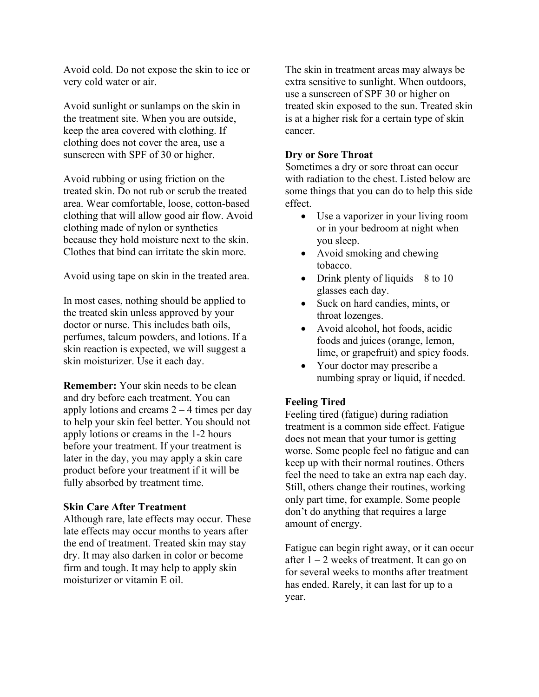Avoid cold. Do not expose the skin to ice or very cold water or air.

Avoid sunlight or sunlamps on the skin in the treatment site. When you are outside, keep the area covered with clothing. If clothing does not cover the area, use a sunscreen with SPF of 30 or higher.

Avoid rubbing or using friction on the treated skin. Do not rub or scrub the treated area. Wear comfortable, loose, cotton-based clothing that will allow good air flow. Avoid clothing made of nylon or synthetics because they hold moisture next to the skin. Clothes that bind can irritate the skin more.

Avoid using tape on skin in the treated area.

In most cases, nothing should be applied to the treated skin unless approved by your doctor or nurse. This includes bath oils, perfumes, talcum powders, and lotions. If a skin reaction is expected, we will suggest a skin moisturizer. Use it each day.

**Remember:** Your skin needs to be clean and dry before each treatment. You can apply lotions and creams  $2 - 4$  times per day to help your skin feel better. You should not apply lotions or creams in the 1-2 hours before your treatment. If your treatment is later in the day, you may apply a skin care product before your treatment if it will be fully absorbed by treatment time.

# **Skin Care After Treatment**

Although rare, late effects may occur. These late effects may occur months to years after the end of treatment. Treated skin may stay dry. It may also darken in color or become firm and tough. It may help to apply skin moisturizer or vitamin E oil.

The skin in treatment areas may always be extra sensitive to sunlight. When outdoors, use a sunscreen of SPF 30 or higher on treated skin exposed to the sun. Treated skin is at a higher risk for a certain type of skin cancer.

#### **Dry or Sore Throat**

Sometimes a dry or sore throat can occur with radiation to the chest. Listed below are some things that you can do to help this side effect.

- Use a vaporizer in your living room or in your bedroom at night when you sleep.
- Avoid smoking and chewing tobacco.
- Drink plenty of liquids—8 to 10 glasses each day.
- Suck on hard candies, mints, or throat lozenges.
- Avoid alcohol, hot foods, acidic foods and juices (orange, lemon, lime, or grapefruit) and spicy foods.
- Your doctor may prescribe a numbing spray or liquid, if needed.

# **Feeling Tired**

Feeling tired (fatigue) during radiation treatment is a common side effect. Fatigue does not mean that your tumor is getting worse. Some people feel no fatigue and can keep up with their normal routines. Others feel the need to take an extra nap each day. Still, others change their routines, working only part time, for example. Some people don't do anything that requires a large amount of energy.

Fatigue can begin right away, or it can occur after  $1 - 2$  weeks of treatment. It can go on for several weeks to months after treatment has ended. Rarely, it can last for up to a year.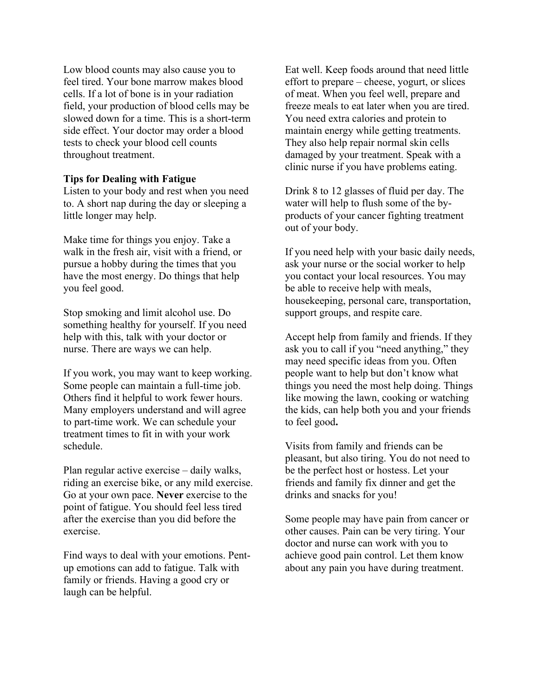Low blood counts may also cause you to feel tired. Your bone marrow makes blood cells. If a lot of bone is in your radiation field, your production of blood cells may be slowed down for a time. This is a short-term side effect. Your doctor may order a blood tests to check your blood cell counts throughout treatment.

#### **Tips for Dealing with Fatigue**

Listen to your body and rest when you need to. A short nap during the day or sleeping a little longer may help.

Make time for things you enjoy. Take a walk in the fresh air, visit with a friend, or pursue a hobby during the times that you have the most energy. Do things that help you feel good.

Stop smoking and limit alcohol use. Do something healthy for yourself. If you need help with this, talk with your doctor or nurse. There are ways we can help.

If you work, you may want to keep working. Some people can maintain a full-time job. Others find it helpful to work fewer hours. Many employers understand and will agree to part-time work. We can schedule your treatment times to fit in with your work schedule.

Plan regular active exercise – daily walks, riding an exercise bike, or any mild exercise. Go at your own pace. **Never** exercise to the point of fatigue. You should feel less tired after the exercise than you did before the exercise.

Find ways to deal with your emotions. Pentup emotions can add to fatigue. Talk with family or friends. Having a good cry or laugh can be helpful.

Eat well. Keep foods around that need little effort to prepare – cheese, yogurt, or slices of meat. When you feel well, prepare and freeze meals to eat later when you are tired. You need extra calories and protein to maintain energy while getting treatments. They also help repair normal skin cells damaged by your treatment. Speak with a clinic nurse if you have problems eating.

Drink 8 to 12 glasses of fluid per day. The water will help to flush some of the byproducts of your cancer fighting treatment out of your body.

If you need help with your basic daily needs, ask your nurse or the social worker to help you contact your local resources. You may be able to receive help with meals, housekeeping, personal care, transportation, support groups, and respite care.

Accept help from family and friends. If they ask you to call if you "need anything," they may need specific ideas from you. Often people want to help but don't know what things you need the most help doing. Things like mowing the lawn, cooking or watching the kids, can help both you and your friends to feel good**.**

Visits from family and friends can be pleasant, but also tiring. You do not need to be the perfect host or hostess. Let your friends and family fix dinner and get the drinks and snacks for you!

Some people may have pain from cancer or other causes. Pain can be very tiring. Your doctor and nurse can work with you to achieve good pain control. Let them know about any pain you have during treatment.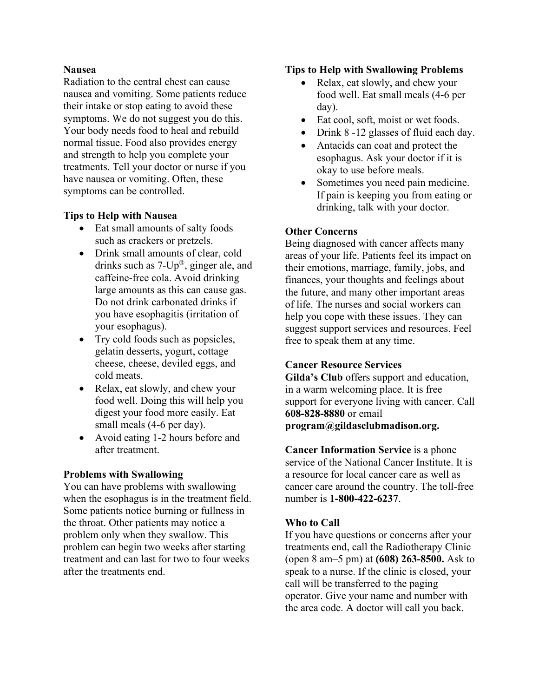#### **Nausea**

Radiation to the central chest can cause nausea and vomiting. Some patients reduce their intake or stop eating to avoid these symptoms. We do not suggest you do this. Your body needs food to heal and rebuild normal tissue. Food also provides energy and strength to help you complete your treatments. Tell your doctor or nurse if you have nausea or vomiting. Often, these symptoms can be controlled.

# **Tips to Help with Nausea**

- Eat small amounts of salty foods such as crackers or pretzels.
- Drink small amounts of clear, cold drinks such as 7-Up®, ginger ale, and caffeine-free cola. Avoid drinking large amounts as this can cause gas. Do not drink carbonated drinks if you have esophagitis (irritation of your esophagus).
- Try cold foods such as popsicles, gelatin desserts, yogurt, cottage cheese, cheese, deviled eggs, and cold meats.
- Relax, eat slowly, and chew your food well. Doing this will help you digest your food more easily. Eat small meals (4-6 per day).
- Avoid eating 1-2 hours before and after treatment.

# **Problems with Swallowing**

You can have problems with swallowing when the esophagus is in the treatment field. Some patients notice burning or fullness in the throat. Other patients may notice a problem only when they swallow. This problem can begin two weeks after starting treatment and can last for two to four weeks after the treatments end.

# **Tips to Help with Swallowing Problems**

- Relax, eat slowly, and chew your food well. Eat small meals (4-6 per day).
- Eat cool, soft, moist or wet foods.
- Drink 8 -12 glasses of fluid each day.
- Antacids can coat and protect the esophagus. Ask your doctor if it is okay to use before meals.
- Sometimes you need pain medicine. If pain is keeping you from eating or drinking, talk with your doctor.

# **Other Concerns**

Being diagnosed with cancer affects many areas of your life. Patients feel its impact on their emotions, marriage, family, jobs, and finances, your thoughts and feelings about the future, and many other important areas of life. The nurses and social workers can help you cope with these issues. They can suggest support services and resources. Feel free to speak them at any time.

# **Cancer Resource Services**

**Gilda's Club** offers support and education, in a warm welcoming place. It is free support for everyone living with cancer. Call **608-828-8880** or email **program@gildasclubmadison.org.**

**Cancer Information Service** is a phone service of the National Cancer Institute. It is a resource for local cancer care as well as cancer care around the country. The toll-free number is **1-800-422-6237**.

# **Who to Call**

If you have questions or concerns after your treatments end, call the Radiotherapy Clinic (open 8 am–5 pm) at **(608) 263-8500.** Ask to speak to a nurse. If the clinic is closed, your call will be transferred to the paging operator. Give your name and number with the area code. A doctor will call you back.